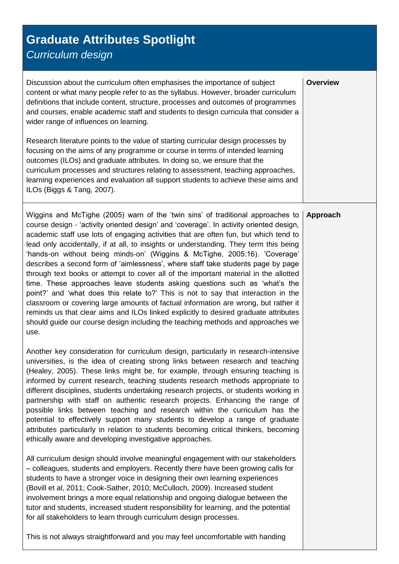## **Graduate Attributes Spotlight** *Curriculum design*

Discussion about the curriculum often emphasises the importance of subject content or what many people refer to as the syllabus. However, broader curriculum definitions that include content, structure, processes and outcomes of programmes and courses, enable academic staff and students to design curricula that consider a wider range of influences on learning.

**Overview**

**Approach**

Research literature points to the value of starting curricular design processes by focusing on the aims of any programme or course in terms of intended learning outcomes (ILOs) and graduate attributes. In doing so, we ensure that the curriculum processes and structures relating to assessment, teaching approaches, learning experiences and evaluation all support students to achieve these aims and ILOs (Biggs & Tang, 2007).

Wiggins and McTighe (2005) warn of the 'twin sins' of traditional approaches to course design - 'activity oriented design' and 'coverage'. In activity oriented design, academic staff use lots of engaging activities that are often fun, but which tend to lead only accidentally, if at all, to insights or understanding. They term this being 'hands-on without being minds-on' (Wiggins & McTighe, 2005:16). 'Coverage' describes a second form of 'aimlessness', where staff take students page by page through text books or attempt to cover all of the important material in the allotted time. These approaches leave students asking questions such as 'what's the point?' and 'what does this relate to?' This is not to say that interaction in the classroom or covering large amounts of factual information are wrong, but rather it reminds us that clear aims and ILOs linked explicitly to desired graduate attributes should guide our course design including the teaching methods and approaches we use.

Another key consideration for curriculum design, particularly in research-intensive universities, is the idea of creating strong links between research and teaching (Healey, 2005). These links might be, for example, through ensuring teaching is informed by current research, teaching students research methods appropriate to different disciplines, students undertaking research projects, or students working in partnership with staff on authentic research projects. Enhancing the range of possible links between teaching and research within the curriculum has the potential to effectively support many students to develop a range of graduate attributes particularly in relation to students becoming critical thinkers, becoming ethically aware and developing investigative approaches.

All curriculum design should involve meaningful engagement with our stakeholders – colleagues, students and employers. Recently there have been growing calls for students to have a stronger voice in designing their own learning experiences (Bovill et al, 2011; Cook-Sather, 2010; McCulloch, 2009). Increased student involvement brings a more equal relationship and ongoing dialogue between the tutor and students, increased student responsibility for learning, and the potential for all stakeholders to learn through curriculum design processes.

This is not always straightforward and you may feel uncomfortable with handing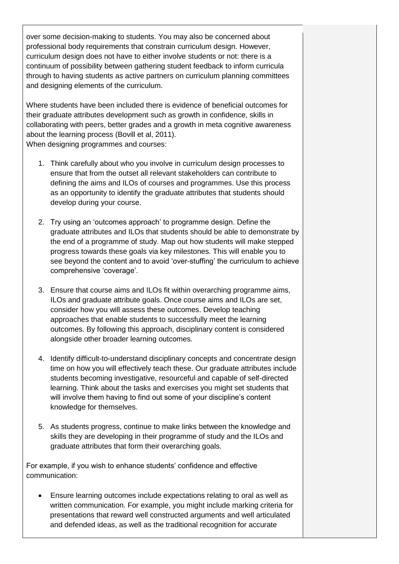over some decision-making to students. You may also be concerned about professional body requirements that constrain curriculum design. However, curriculum design does not have to either involve students or not: there is a continuum of possibility between gathering student feedback to inform curricula through to having students as active partners on curriculum planning committees and designing elements of the curriculum.

Where students have been included there is evidence of beneficial outcomes for their graduate attributes development such as growth in confidence, skills in collaborating with peers, better grades and a growth in meta cognitive awareness about the learning process (Bovill et al, 2011). When designing programmes and courses:

- 1. Think carefully about who you involve in curriculum design processes to ensure that from the outset all relevant stakeholders can contribute to defining the aims and ILOs of courses and programmes. Use this process as an opportunity to identify the graduate attributes that students should develop during your course.
- 2. Try using an 'outcomes approach' to programme design. Define the graduate attributes and ILOs that students should be able to demonstrate by the end of a programme of study. Map out how students will make stepped progress towards these goals via key milestones. This will enable you to see beyond the content and to avoid 'over-stuffing' the curriculum to achieve comprehensive 'coverage'.
- 3. Ensure that course aims and ILOs fit within overarching programme aims, ILOs and graduate attribute goals. Once course aims and ILOs are set, consider how you will assess these outcomes. Develop teaching approaches that enable students to successfully meet the learning outcomes. By following this approach, disciplinary content is considered alongside other broader learning outcomes.
- 4. Identify difficult-to-understand disciplinary concepts and concentrate design time on how you will effectively teach these. Our graduate attributes include students becoming investigative, resourceful and capable of self-directed learning. Think about the tasks and exercises you might set students that will involve them having to find out some of your discipline's content knowledge for themselves.
- 5. As students progress, continue to make links between the knowledge and skills they are developing in their programme of study and the ILOs and graduate attributes that form their overarching goals.

For example, if you wish to enhance students' confidence and effective communication:

 Ensure learning outcomes include expectations relating to oral as well as written communication. For example, you might include marking criteria for presentations that reward well constructed arguments and well articulated and defended ideas, as well as the traditional recognition for accurate